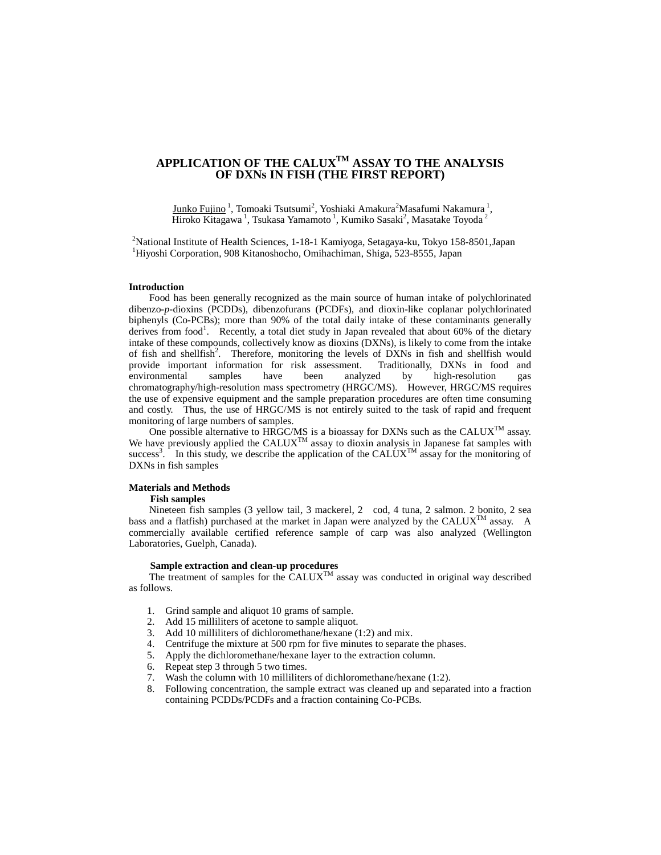# **APPLICATION OF THE CALUXTM ASSAY TO THE ANALYSIS OF DXNs IN FISH (THE FIRST REPORT)**

Junko Fujino<sup>1</sup>, Tomoaki Tsutsumi<sup>2</sup>, Yoshiaki Amakura<sup>2</sup>Masafumi Nakamura<sup>1</sup>, Hiroko Kitagawa<sup>1</sup>, Tsukasa Yamamoto<sup>1</sup>, Kumiko Sasaki<sup>2</sup>, Masatake Toyoda<sup>2</sup>

<sup>2</sup>National Institute of Health Sciences, 1-18-1 Kamiyoga, Setagaya-ku, Tokyo 158-8501, Japan <sup>1</sup>Hiyoshi Corporation, 908 Kitanoshocho, Omihachiman, Shiga, 523-8555, Japan

### **Introduction**

Food has been generally recognized as the main source of human intake of polychlorinated dibenzo-*p*-dioxins (PCDDs), dibenzofurans (PCDFs), and dioxin-like coplanar polychlorinated biphenyls (Co-PCBs); more than 90% of the total daily intake of these contaminants generally derives from food<sup>1</sup>. Recently, a total diet study in Japan revealed that about 60% of the dietary intake of these compounds, collectively know as dioxins (DXNs), is likely to come from the intake of fish and shellfish<sup>2</sup>. Therefore, monitoring the levels of DXNs in fish and shellfish would provide important information for risk assessment. Traditionally, DXNs in food and environmental samples have been analyzed by high-resolution gas chromatography/high-resolution mass spectrometry (HRGC/MS). However, HRGC/MS requires the use of expensive equipment and the sample preparation procedures are often time consuming and costly. Thus, the use of HRGC/MS is not entirely suited to the task of rapid and frequent monitoring of large numbers of samples.

One possible alternative to HRGC/MS is a bioassay for DXNs such as the CALUX<sup>TM</sup> assay. We have previously applied the CALUX<sup>TM</sup> assay to dioxin analysis in Japanese fat samples with success<sup>3</sup>. In this study, we describe the application of the CALUX<sup>TM</sup> assay for the monitoring of DXNs in fish samples

## **Materials and Methods**

**Fish samples** 

Nineteen fish samples (3 yellow tail, 3 mackerel, 2 cod, 4 tuna, 2 salmon. 2 bonito, 2 sea bass and a flatfish) purchased at the market in Japan were analyzed by the CALUX<sup>TM</sup> assay. A commercially available certified reference sample of carp was also analyzed (Wellington Laboratories, Guelph, Canada).

## **Sample extraction and clean-up procedures**

The treatment of samples for the  $CALUX^{TM}$  assay was conducted in original way described as follows.

- 1. Grind sample and aliquot 10 grams of sample.
- 2. Add 15 milliliters of acetone to sample aliquot.
- 
- 3. Add 10 milliliters of dichloromethane/hexane (1:2) and mix.<br>4. Centrifuge the mixture at 500 rpm for five minutes to separat Centrifuge the mixture at 500 rpm for five minutes to separate the phases.
- 5. Apply the dichloromethane/hexane layer to the extraction column.
- 6. Repeat step 3 through 5 two times.
- 7. Wash the column with 10 milliliters of dichloromethane/hexane (1:2).
- 8. Following concentration, the sample extract was cleaned up and separated into a fraction containing PCDDs/PCDFs and a fraction containing Co-PCBs.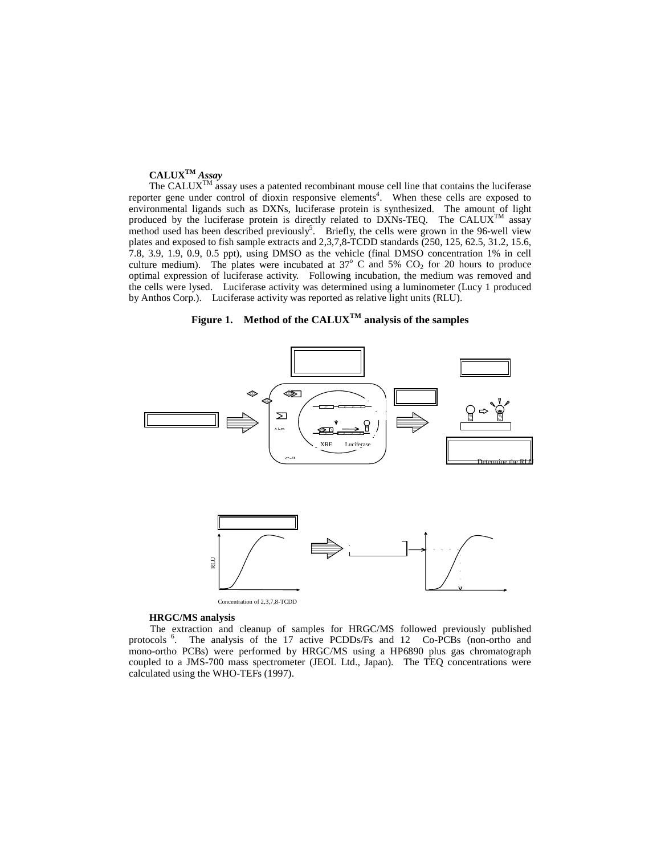# **CALUXTM** *Assay*

The CALUX<sup>TM</sup> assay uses a patented recombinant mouse cell line that contains the luciferase reporter gene under control of dioxin responsive elements<sup>4</sup>. When these cells are exposed to environmental ligands such as DXNs, luciferase protein is synthesized. The amount of light produced by the luciferase protein is directly related to DXNs-TEQ. The CALUX<sup>TM</sup> assay method used has been described previously<sup>5</sup>. Briefly, the cells were grown in the 96-well view plates and exposed to fish sample extracts and 2,3,7,8-TCDD standards (250, 125, 62.5, 31.2, 15.6, 7.8, 3.9, 1.9, 0.9, 0.5 ppt), using DMSO as the vehicle (final DMSO concentration 1% in cell culture medium). The plates were incubated at  $37^{\circ}$  C and  $5\%$  CO<sub>2</sub> for 20 hours to produce optimal expression of luciferase activity. Following incubation, the medium was removed and the cells were lysed. Luciferase activity was determined using a luminometer (Lucy 1 produced by Anthos Corp.). Luciferase activity was reported as relative light units (RLU).





## **HRGC/MS analysis**

The extraction and cleanup of samples for HRGC/MS followed previously published protocols 6. The analysis of the 17 active PCDDs/Fs and 12 Co-PCBs (non-ortho and mono-ortho PCBs) were performed by HRGC/MS using a HP6890 plus gas chromatograph coupled to a JMS-700 mass spectrometer (JEOL Ltd., Japan). The TEQ concentrations were calculated using the WHO-TEFs (1997).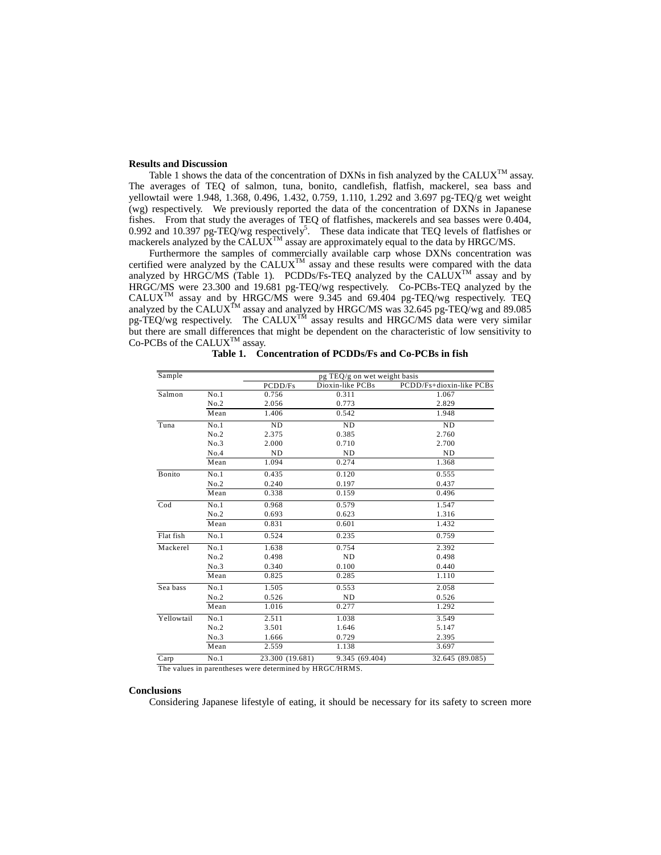#### **Results and Discussion**

Table 1 shows the data of the concentration of DXNs in fish analyzed by the CALUX<sup>TM</sup> assay. The averages of TEQ of salmon, tuna, bonito, candlefish, flatfish, mackerel, sea bass and yellowtail were 1.948, 1.368, 0.496, 1.432, 0.759, 1.110, 1.292 and 3.697 pg-TEQ/g wet weight (wg) respectively. We previously reported the data of the concentration of DXNs in Japanese fishes. From that study the averages of TEQ of flatfishes, mackerels and sea basses were 0.404, 0.992 and 10.397 pg-TEQ/wg respectively<sup>5</sup>. These data indicate that TEQ levels of flatfishes or mackerels analyzed by the CALU $\hat{X}^{TM}$  assay are approximately equal to the data by HRGC/MS.

Furthermore the samples of commercially available carp whose DXNs concentration was certified were analyzed by the  $CALUX^{TM}$  assay and these results were compared with the data analyzed by HRGC/MS (Table 1). PCDDs/Fs-TEQ analyzed by the CALUX<sup>TM</sup> assay and by HRGC/MS were 23.300 and 19.681 pg-TEQ/wg respectively. Co-PCBs-TEQ analyzed by the  $CALUX^{TM}$  assay and by HRGC/MS were 9.345 and 69.404 pg-TEQ/wg respectively. TEQ analyzed by the CALUX<sup>TM</sup> assay and analyzed by HRGC/MS was  $32.645$  pg-TEQ/wg and  $89.085$ pg-TEQ/wg respectively. The CALUX<sup>TM</sup> assay results and HRGC/MS data were very similar but there are small differences that might be dependent on the characteristic of low sensitivity to Co-PCBs of the CALUX<sup>TM</sup> assay.

| Sample     |                               | pg TEQ/g on wet weight basis |                  |                          |
|------------|-------------------------------|------------------------------|------------------|--------------------------|
|            |                               | PCDD/Fs                      | Dioxin-like PCBs | PCDD/Fs+dioxin-like PCBs |
| Salmon     | No.1                          | 0.756                        | 0.311            | 1.067                    |
|            | No.2                          | 2.056                        | 0.773            | 2.829                    |
|            | Mean                          | 1.406                        | 0.542            | 1.948                    |
| Tuna       | No.1                          | ND                           | <b>ND</b>        | <b>ND</b>                |
|            | No.2                          | 2.375                        | 0.385            | 2.760                    |
|            | No.3                          | 2.000                        | 0.710            | 2.700                    |
|            | No.4                          | ND                           | ND               | ND                       |
|            | Mean                          | 1.094                        | 0.274            | 1.368                    |
| Bonito     | No.1                          | 0.435                        | 0.120            | 0.555                    |
|            | No.2                          | 0.240                        | 0.197            | 0.437                    |
|            | Mean                          | 0.338                        | 0.159            | 0.496                    |
| Cod        | No.1                          | 0.968                        | 0.579            | 1.547                    |
|            | No.2                          | 0.693                        | 0.623            | 1.316                    |
|            | Mean                          | 0.831                        | 0.601            | 1.432                    |
| Flat fish  | No.1                          | 0.524                        | 0.235            | 0.759                    |
| Mackerel   | No.1                          | 1.638                        | 0.754            | 2.392                    |
|            | No.2                          | 0.498                        | ND               | 0.498                    |
|            | No.3                          | 0.340                        | 0.100            | 0.440                    |
|            | Mean                          | 0.825                        | 0.285            | 1.110                    |
| Sea bass   | No.1                          | 1.505                        | 0.553            | 2.058                    |
|            | No.2                          | 0.526                        | <b>ND</b>        | 0.526                    |
|            | Mean                          | 1.016                        | 0.277            | 1.292                    |
| Yellowtail | No.1                          | 2.511                        | 1.038            | 3.549                    |
|            | No.2                          | 3.501                        | 1.646            | 5.147                    |
|            | No.3                          | 1.666                        | 0.729            | 2.395                    |
|            | Mean                          | 2.559                        | 1.138            | 3.697                    |
| Carp       | $\overline{N}$ <sub>0.1</sub> | 23.300 (19.681)              | 9.345 (69.404)   | 32.645 (89.085)          |

**Table 1. Concentration of PCDDs/Fs and Co-PCBs in fish** 

The values in parentheses were determined by HRGC/HRMS.

### **Conclusions**

Considering Japanese lifestyle of eating, it should be necessary for its safety to screen more